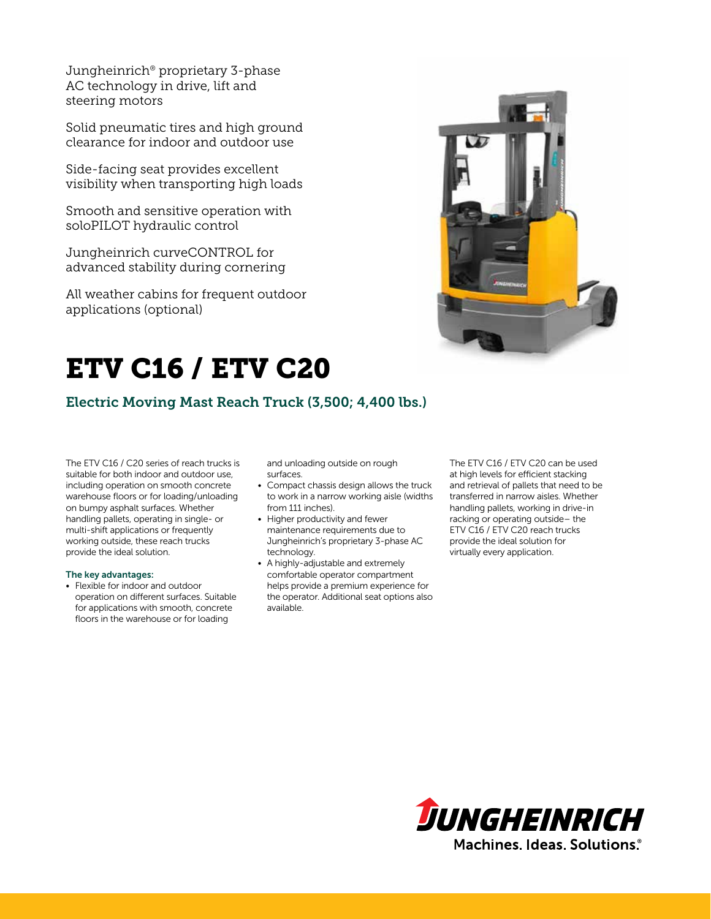Jungheinrich® proprietary 3-phase AC technology in drive, lift and steering motors

Solid pneumatic tires and high ground clearance for indoor and outdoor use

Side-facing seat provides excellent visibility when transporting high loads

Smooth and sensitive operation with soloPILOT hydraulic control

Jungheinrich curveCONTROL for advanced stability during cornering

All weather cabins for frequent outdoor applications (optional)



# ETV C16 / ETV C20

Electric Moving Mast Reach Truck (3,500; 4,400 lbs.)

The ETV C16 / C20 series of reach trucks is suitable for both indoor and outdoor use, including operation on smooth concrete warehouse floors or for loading/unloading on bumpy asphalt surfaces. Whether handling pallets, operating in single- or multi-shift applications or frequently working outside, these reach trucks provide the ideal solution.

#### The key advantages:

• Flexible for indoor and outdoor operation on different surfaces. Suitable for applications with smooth, concrete floors in the warehouse or for loading

and unloading outside on rough surfaces.

- Compact chassis design allows the truck to work in a narrow working aisle (widths from 111 inches).
- Higher productivity and fewer maintenance requirements due to Jungheinrich's proprietary 3-phase AC technology.
- A highly-adjustable and extremely comfortable operator compartment helps provide a premium experience for the operator. Additional seat options also available.

The ETV C16 / ETV C20 can be used at high levels for efficient stacking and retrieval of pallets that need to be transferred in narrow aisles. Whether handling pallets, working in drive-in racking or operating outside– the ETV C16 / ETV C20 reach trucks provide the ideal solution for virtually every application.

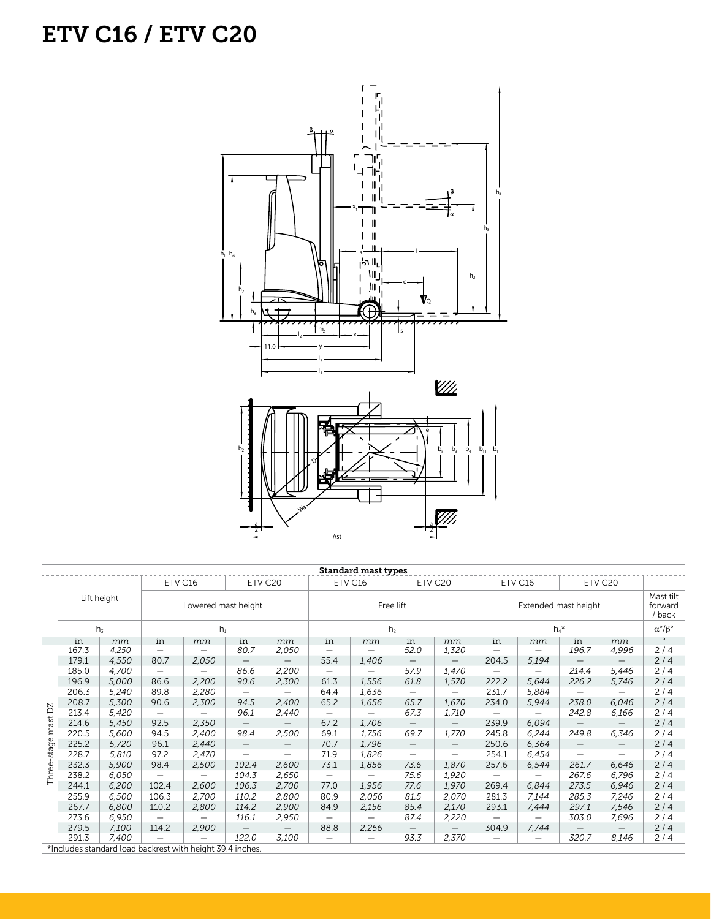## ETV C16 / ETV C20



| <b>Standard mast types</b>                                |             |                |                     |                          |                          |                                 |                          |                   |                          |                   |                          |                          |                          |                          |                                |
|-----------------------------------------------------------|-------------|----------------|---------------------|--------------------------|--------------------------|---------------------------------|--------------------------|-------------------|--------------------------|-------------------|--------------------------|--------------------------|--------------------------|--------------------------|--------------------------------|
|                                                           | Lift height |                | ETV C16             |                          | ETV C20                  |                                 | ETV C16                  |                   | ETV C20                  |                   | ETV C16                  |                          | ETV C20                  |                          |                                |
|                                                           |             |                | Lowered mast height |                          |                          |                                 | Free lift                |                   |                          |                   | Extended mast height     |                          |                          |                          | Mast tilt<br>forward<br>/ back |
|                                                           |             | h <sub>z</sub> | $h_1$               |                          |                          |                                 | h <sub>2</sub>           |                   |                          |                   | $h_4$ *                  |                          |                          |                          | $\alpha^{\circ}/\beta^{\circ}$ |
|                                                           | in          | mm             | in                  | mm                       | in                       | mm                              | in                       | mm                | in                       | mm                | in                       | mm                       | in                       | mm                       | $\circ$                        |
| DZ<br>mast                                                | 167.3       | 4,250          |                     |                          | 80.7                     | 2,050                           | —                        |                   | 52.0                     | 1,320             |                          |                          | 196.7                    | 4,996                    | 2/4                            |
|                                                           | 179.1       | 4,550          | 80.7                | 2,050                    | $\qquad \qquad -$        | $\qquad \qquad -$               | 55.4                     | 1,406             | $\qquad \qquad -$        | $\qquad \qquad -$ | 204.5                    | 5,194                    | $\qquad \qquad -$        | $\qquad \qquad -$        | 2/4                            |
|                                                           | 185.0       | 4,700          | $\qquad \qquad -$   |                          | 86.6                     | 2,200                           | $\overline{\phantom{m}}$ |                   | 57.9                     | 1,470             | $\overline{\phantom{0}}$ | $\overline{\phantom{0}}$ | 214.4                    | 5,446                    | 2/4                            |
|                                                           | 196.9       | 5,000          | 86.6                | 2,200                    | 90.6                     | 2,300                           | 61.3                     | 1,556             | 61.8                     | 1,570             | 222.2                    | 5,644                    | 226.2                    | 5,746                    | 2/4                            |
|                                                           | 206.3       | 5,240          | 89.8                | 2,280                    |                          | —                               | 64.4                     | 1,636             | $\overline{\phantom{0}}$ |                   | 231.7                    | 5,884                    | —                        |                          | 2/4                            |
|                                                           | 208.7       | 5,300          | 90.6                | 2,300                    | 94.5                     | 2,400                           | 65.2                     | 1,656             | 65.7                     | 1,670             | 234.0                    | 5,944                    | 238.0                    | 6,046                    | 2/4                            |
|                                                           | 213.4       | 5,420          |                     |                          | 96.1                     | 2,440                           | $\qquad \qquad -$        |                   | 67.3                     | 1,710             | $\overline{\phantom{0}}$ | $\overline{\phantom{m}}$ | 242.8                    | 6,166                    | 2/4                            |
|                                                           | 214.6       | 5,450          | 92.5                | 2,350                    |                          |                                 | 67.2                     | 1,706             | $\overline{\phantom{0}}$ |                   | 239.9                    | 6,094                    | $\qquad \qquad -$        |                          | 2/4                            |
|                                                           | 220.5       | 5,600          | 94.5                | 2,400                    | 98.4                     | 2,500                           | 69.1                     | 1,756             | 69.7                     | 1,770             | 245.8                    | 6,244                    | 249.8                    | 6,346                    | 2/4                            |
| stage<br>Three-                                           | 225.2       | 5,720          | 96.1                | 2,440                    | $\overline{\phantom{0}}$ | $\hspace{0.1mm}-\hspace{0.1mm}$ | 70.7                     | 1,796             | $\overline{\phantom{m}}$ | $\qquad \qquad -$ | 250.6                    | 6,364                    | $\qquad \qquad -$        | $\overline{\phantom{m}}$ | 2/4                            |
|                                                           | 228.7       | 5,810          | 97.2                | 2,470                    |                          | $\overline{\phantom{0}}$        | 71.9                     | 1,826             | $\overline{\phantom{0}}$ | —                 | 254.1                    | 6,454                    | $\overline{\phantom{0}}$ |                          | 2/4                            |
|                                                           | 232.3       | 5,900          | 98.4                | 2,500                    | 102.4                    | 2,600                           | 73.1                     | 1,856             | 73.6                     | 1,870             | 257.6                    | 6,544                    | 261.7                    | 6,646                    | 2/4                            |
|                                                           | 238.2       | 6,050          | $\qquad \qquad -$   | $\overline{\phantom{0}}$ | 104.3                    | 2,650                           | $\overline{\phantom{0}}$ | —                 | 75.6                     | 1,920             |                          |                          | 267.6                    | 6,796                    | 2/4                            |
|                                                           | 244.1       | 6,200          | 102.4               | 2,600                    | 106.3                    | 2,700                           | 77.0                     | 1,956             | 77.6                     | 1,970             | 269.4                    | 6.844                    | 273.5                    | 6,946                    | 2/4                            |
|                                                           | 255.9       | 6,500          | 106.3               | 2,700                    | 110.2                    | 2,800                           | 80.9                     | 2,056             | 81.5                     | 2,070             | 281.3                    | 7,144                    | 285.3                    | 7,246                    | 2/4                            |
|                                                           | 267.7       | 6,800          | 110.2               | 2,800                    | 114.2                    | 2,900                           | 84.9                     | 2,156             | 85.4                     | 2,170             | 293.1                    | 7,444                    | 297.1                    | 7,546                    | 2/4                            |
|                                                           | 273.6       | 6,950          | $\qquad \qquad -$   | —                        | 116.1                    | 2,950                           | $\qquad \qquad -$        | $\qquad \qquad -$ | 87.4                     | 2,220             | $\overline{\phantom{0}}$ | $\qquad \qquad -$        | 303.0                    | 7,696                    | 2/4                            |
|                                                           | 279.5       | 7,100          | 114.2               | 2,900                    |                          | $\overline{\phantom{0}}$        | 88.8                     | 2,256             |                          | $\qquad \qquad -$ | 304.9                    | 7,744                    |                          |                          | 2/4                            |
|                                                           | 291.3       | 7,400          |                     |                          | 122.0                    | 3,100                           | —                        |                   | 93.3                     | 2,370             |                          | $\qquad \qquad -$        | 320.7                    | 8,146                    | 2/4                            |
| *Includes standard load backrest with height 39.4 inches. |             |                |                     |                          |                          |                                 |                          |                   |                          |                   |                          |                          |                          |                          |                                |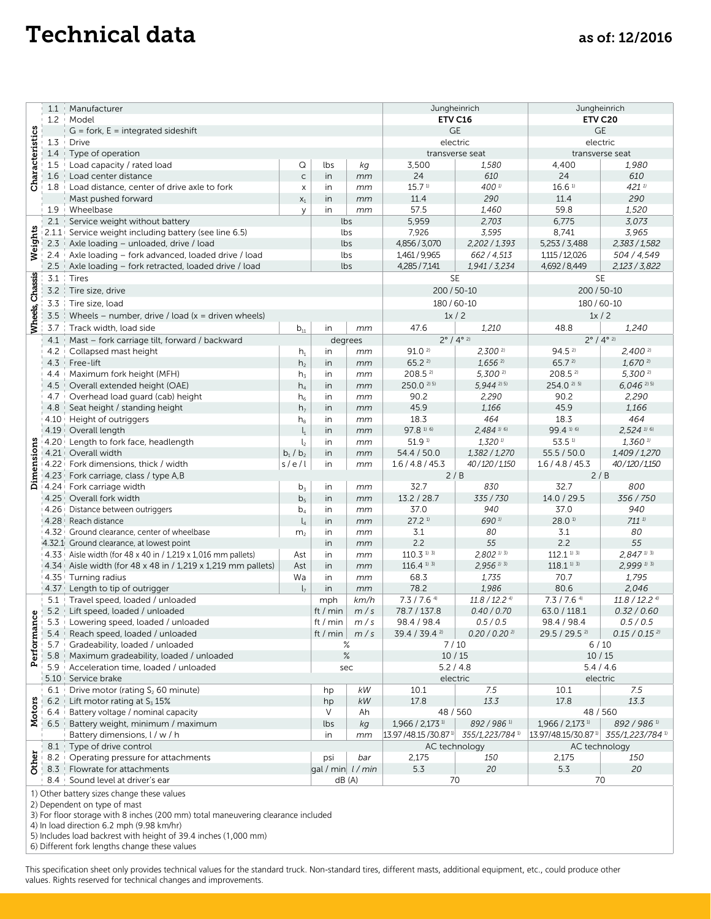## Technical data as of: 12/2016

|                                                                                                                                                                                                                                                                                                                                 | 1.1                                                                                                                                                                                                                                     | Manufacturer                                                                                                |                              | Jungheinrich | Jungheinrich        |                                                               |                               |                                                                     |                             |  |
|---------------------------------------------------------------------------------------------------------------------------------------------------------------------------------------------------------------------------------------------------------------------------------------------------------------------------------|-----------------------------------------------------------------------------------------------------------------------------------------------------------------------------------------------------------------------------------------|-------------------------------------------------------------------------------------------------------------|------------------------------|--------------|---------------------|---------------------------------------------------------------|-------------------------------|---------------------------------------------------------------------|-----------------------------|--|
|                                                                                                                                                                                                                                                                                                                                 | 1.2                                                                                                                                                                                                                                     | + Model                                                                                                     |                              | ETV C16      | ETV C20             |                                                               |                               |                                                                     |                             |  |
| Characteristics                                                                                                                                                                                                                                                                                                                 |                                                                                                                                                                                                                                         | $G =$ fork, $E =$ integrated sideshift                                                                      |                              | <b>GE</b>    | $\mathsf{GE}$       |                                                               |                               |                                                                     |                             |  |
|                                                                                                                                                                                                                                                                                                                                 | 1.3                                                                                                                                                                                                                                     | Drive                                                                                                       |                              |              |                     |                                                               | electric                      | electric                                                            |                             |  |
|                                                                                                                                                                                                                                                                                                                                 | 1.4                                                                                                                                                                                                                                     | Type of operation                                                                                           |                              |              |                     |                                                               | transverse seat               |                                                                     | transverse seat             |  |
|                                                                                                                                                                                                                                                                                                                                 | 1.5                                                                                                                                                                                                                                     | Load capacity / rated load                                                                                  | Q                            | lbs          | kg                  | 3,500                                                         | 1,580                         | 4,400<br>24                                                         | 1,980                       |  |
|                                                                                                                                                                                                                                                                                                                                 | 1.6                                                                                                                                                                                                                                     | Load center distance                                                                                        | $\mathsf{C}$                 | in           | mm                  | 24<br>15.7 <sup>1</sup>                                       | 610                           |                                                                     | 610                         |  |
|                                                                                                                                                                                                                                                                                                                                 | 1.8                                                                                                                                                                                                                                     | Load distance, center of drive axle to fork                                                                 | X                            | in           | mm                  | 11.4                                                          | 400 <sup>11</sup>             | 16.6 <sup>1</sup>                                                   | $421^{11}$<br>290           |  |
|                                                                                                                                                                                                                                                                                                                                 | 1.9                                                                                                                                                                                                                                     | Mast pushed forward<br>Wheelbase                                                                            | $\mathsf{X}_1$<br>У          | in<br>in     | mm<br>mm            | 57.5                                                          | 290<br>1,460                  | 11.4<br>59.8                                                        | 1,520                       |  |
|                                                                                                                                                                                                                                                                                                                                 | 2.1                                                                                                                                                                                                                                     | Service weight without battery                                                                              |                              | lbs          |                     | 5,959                                                         | 2,703                         | 6,775                                                               | 3,073                       |  |
| Weights                                                                                                                                                                                                                                                                                                                         | 2.1.1                                                                                                                                                                                                                                   | Service weight including battery (see line 6.5)                                                             |                              | lbs          |                     | 7,926                                                         | 3,595                         | 8,741                                                               | 3,965                       |  |
|                                                                                                                                                                                                                                                                                                                                 | 2.3                                                                                                                                                                                                                                     | Axle loading – unloaded, drive / load                                                                       |                              | lbs          |                     | 4,856 / 3,070                                                 | 2,202 / 1,393                 | 5,253 / 3,488                                                       | 2,383 / 1,582               |  |
|                                                                                                                                                                                                                                                                                                                                 | 2.4                                                                                                                                                                                                                                     | Axle loading - fork advanced, loaded drive / load                                                           |                              | lbs          |                     | 1,461/9,965                                                   | 662 / 4,513                   | 1,115 / 12,026                                                      | 504 / 4,549                 |  |
|                                                                                                                                                                                                                                                                                                                                 | 2.5                                                                                                                                                                                                                                     | Axle loading - fork retracted, loaded drive / load                                                          |                              | lbs          |                     | 4,285 / 7,141                                                 | 1,941 / 3,234                 | 4,692 / 8,449                                                       | 2,123/3,822                 |  |
|                                                                                                                                                                                                                                                                                                                                 | 3.1                                                                                                                                                                                                                                     | Tires                                                                                                       |                              |              |                     |                                                               | <b>SE</b>                     | <b>SE</b>                                                           |                             |  |
| Wheels, Chassis                                                                                                                                                                                                                                                                                                                 | 3.2                                                                                                                                                                                                                                     | Tire size, drive                                                                                            |                              |              |                     | 200 / 50-10                                                   | 200 / 50-10                   |                                                                     |                             |  |
|                                                                                                                                                                                                                                                                                                                                 | 3.3                                                                                                                                                                                                                                     | Tire size, load                                                                                             |                              |              |                     |                                                               | 180 / 60-10                   | 180/60-10                                                           |                             |  |
|                                                                                                                                                                                                                                                                                                                                 | 3.5                                                                                                                                                                                                                                     | Wheels – number, drive / load $(x =$ driven wheels)                                                         |                              |              |                     | 1x/2                                                          |                               | 1x/2                                                                |                             |  |
|                                                                                                                                                                                                                                                                                                                                 | 3.7                                                                                                                                                                                                                                     | Track width, load side                                                                                      | in                           | mm           | 47.6<br>1,210       |                                                               | 48.8                          | 1,240                                                               |                             |  |
|                                                                                                                                                                                                                                                                                                                                 | 4.1                                                                                                                                                                                                                                     | Mast - fork carriage tilt, forward / backward                                                               | $b_{11}$                     |              | degrees             | $2^{\circ}$ / $4^{\circ}$ 2)                                  |                               | $2^{\circ}$ / $4^{\circ}$ 2)                                        |                             |  |
|                                                                                                                                                                                                                                                                                                                                 | 4.2                                                                                                                                                                                                                                     | Collapsed mast height                                                                                       | $h_1$                        | in           | mm                  | 91.02                                                         | $2,300^{21}$                  | $94.5^{21}$                                                         | $2,400^{21}$                |  |
|                                                                                                                                                                                                                                                                                                                                 | 4.3                                                                                                                                                                                                                                     | Free-lift                                                                                                   | h <sub>2</sub>               | in           | mm                  | 65.22                                                         | $1,656$ <sup>2)</sup>         | 65.7 2)                                                             | $1,670$ <sup>2)</sup>       |  |
|                                                                                                                                                                                                                                                                                                                                 | 4.4                                                                                                                                                                                                                                     | Maximum fork height (MFH)                                                                                   | $h_3$                        | in           | mm                  | $208.5^{21}$                                                  | $5,300^{21}$                  | $208.5^{21}$                                                        | 5,300 2)                    |  |
|                                                                                                                                                                                                                                                                                                                                 | 4.5                                                                                                                                                                                                                                     | Overall extended height (OAE)                                                                               | $h_4$                        | in           | mm                  | 250.0 <sup>2) 5)</sup>                                        | 5,944 2) 5)                   | 254.0 <sup>2) 5)</sup>                                              | $6,046$ <sup>2) 5)</sup>    |  |
|                                                                                                                                                                                                                                                                                                                                 | 4.7                                                                                                                                                                                                                                     | Overhead load guard (cab) height                                                                            | $h_6$                        | in           | mm                  | 90.2                                                          | 2,290                         | 90.2                                                                | 2,290                       |  |
|                                                                                                                                                                                                                                                                                                                                 | 4.8                                                                                                                                                                                                                                     | Seat height / standing height                                                                               | h <sub>7</sub>               | in           | mm                  | 45.9                                                          | 1,166                         | 45.9                                                                | 1,166                       |  |
|                                                                                                                                                                                                                                                                                                                                 | 4.10                                                                                                                                                                                                                                    | Height of outriggers                                                                                        | $h_{8}$                      | in           | mm                  | 18.3                                                          | 464                           | 18.3                                                                | 464                         |  |
|                                                                                                                                                                                                                                                                                                                                 | 4.19                                                                                                                                                                                                                                    | Overall length                                                                                              | $\mathsf{l}_1$               | in           | mm                  | 97.8 1) 6)                                                    | $2,484$ <sup>1/6)</sup>       | 99.4 1) 6)                                                          | $2.524$ <sup>1/6)</sup>     |  |
|                                                                                                                                                                                                                                                                                                                                 |                                                                                                                                                                                                                                         | 4.20 Length to fork face, headlength                                                                        | $l_{2}$                      | in           | mm                  | 51.9 1)                                                       | $1,320$ <sup>1)</sup>         | 53.5 1)                                                             | $1,360$ <sup>1)</sup>       |  |
|                                                                                                                                                                                                                                                                                                                                 |                                                                                                                                                                                                                                         | 4.21 Overall width                                                                                          | $b_1/b_2$                    | in           | mm                  | 54.4 / 50.0                                                   | 1,382 / 1,270                 | 55.5 / 50.0                                                         | 1,409 / 1,270               |  |
|                                                                                                                                                                                                                                                                                                                                 |                                                                                                                                                                                                                                         | 4.22 Fork dimensions, thick / width                                                                         | s/e/l                        | in           | mm                  | 1.6 / 4.8 / 45.3                                              | 40/120/1,150                  | 1.6 / 4.8 / 45.3                                                    | 40/120/1,150                |  |
| Dimensions                                                                                                                                                                                                                                                                                                                      | 4.23                                                                                                                                                                                                                                    | Fork carriage, class / type A,B                                                                             |                              |              |                     |                                                               | 2/B                           | 2/B                                                                 |                             |  |
|                                                                                                                                                                                                                                                                                                                                 | 4.24                                                                                                                                                                                                                                    | Fork carriage width                                                                                         | $b_3$                        | in           | mm                  | 32.7                                                          | 830                           | 32.7                                                                | 800                         |  |
|                                                                                                                                                                                                                                                                                                                                 | 4.25                                                                                                                                                                                                                                    | Overall fork width                                                                                          | b <sub>5</sub>               | in           | mm                  | 13.2 / 28.7                                                   | 335 / 730                     | 14.0 / 29.5                                                         | 356 / 750                   |  |
|                                                                                                                                                                                                                                                                                                                                 |                                                                                                                                                                                                                                         | 4.26 Distance between outriggers                                                                            | $b_4$                        | in           | mm                  | 37.0                                                          | 940                           | 37.0                                                                | 940                         |  |
|                                                                                                                                                                                                                                                                                                                                 |                                                                                                                                                                                                                                         | 4.28 Reach distance                                                                                         | $\mathsf{I}_4$               | in           | mm                  | $27.2$ <sup>1)</sup>                                          | 690 1)                        | 28.01                                                               | $711^{11}$                  |  |
|                                                                                                                                                                                                                                                                                                                                 | $4.32 +$                                                                                                                                                                                                                                | Ground clearance, center of wheelbase                                                                       | m <sub>2</sub>               | in           | mm                  | 3.1<br>2.2                                                    | 80                            | 3.1<br>2.2                                                          | 80<br>55                    |  |
|                                                                                                                                                                                                                                                                                                                                 |                                                                                                                                                                                                                                         | 4.32.1 Ground clearance, at lowest point<br>$14.33$ Aisle width (for 48 x 40 in / 1,219 x 1,016 mm pallets) | Ast                          | in<br>in     | mm<br>mm            | $110.3$ <sup>1)</sup> <sup>3)</sup>                           | 55<br>$2,802$ <sup>1/3)</sup> | $112.1$ <sup>1) 3)</sup>                                            | $2,847$ <sup>1/3)</sup>     |  |
|                                                                                                                                                                                                                                                                                                                                 |                                                                                                                                                                                                                                         | $4.34$ Aisle width (for 48 x 48 in / 1,219 x 1,219 mm pallets)                                              | Ast                          | in           | mm                  | $116.4$ <sup>1) 3)</sup>                                      | $2,956$ <sup>11 31</sup>      | $118.1$ <sup>1)</sup> 3)                                            | $2,999$ <sup>1)</sup> 3)    |  |
|                                                                                                                                                                                                                                                                                                                                 | $4.35 +$                                                                                                                                                                                                                                | Turning radius                                                                                              | Wa                           | in           | mm                  | 68.3                                                          | 1,735                         | 70.7                                                                | 1,795                       |  |
|                                                                                                                                                                                                                                                                                                                                 | $4.37 +$                                                                                                                                                                                                                                | Length to tip of outrigger                                                                                  | $l_7$                        | in           | mm                  | 78.2                                                          | 1,986                         | 80.6                                                                | 2,046                       |  |
|                                                                                                                                                                                                                                                                                                                                 | 5.1                                                                                                                                                                                                                                     | Travel speed, loaded / unloaded                                                                             |                              | mph          | km/h                | $7.3 / 7.6$ <sup>4)</sup>                                     | $11.8 / 12.2$ <sup>4)</sup>   | $7.3 / 7.6$ <sup>4)</sup>                                           | $11.8 / 12.2$ <sup>4)</sup> |  |
|                                                                                                                                                                                                                                                                                                                                 | 5.2                                                                                                                                                                                                                                     | Lift speed, loaded / unloaded                                                                               |                              | ft / min     | m/s                 | 78.7 / 137.8                                                  | 0.40 / 0.70                   | 63.0 / 118.1                                                        | 0.32 / 0.60                 |  |
| ပ္ပ                                                                                                                                                                                                                                                                                                                             | 5.3                                                                                                                                                                                                                                     | Lowering speed, loaded / unloaded                                                                           |                              | ft / min $ $ | m/s                 | 98.4 / 98.4                                                   | 0.5 / 0.5                     | 98.4 / 98.4                                                         | 0.5 / 0.5                   |  |
| Performan                                                                                                                                                                                                                                                                                                                       | 5.4                                                                                                                                                                                                                                     | Reach speed, loaded / unloaded                                                                              |                              |              | ft / min $\mid m/s$ | 39.4 / 39.4 2)                                                | $0.20 / 0.20$ <sup>2)</sup>   | 29.5 / 29.5 2)                                                      | $0.15 / 0.15$ <sup>2)</sup> |  |
|                                                                                                                                                                                                                                                                                                                                 | 5.7                                                                                                                                                                                                                                     | Gradeability, loaded / unloaded                                                                             |                              |              | ℅                   |                                                               | 7/10                          | 6/10                                                                |                             |  |
|                                                                                                                                                                                                                                                                                                                                 | 5.8                                                                                                                                                                                                                                     | Maximum gradeability, loaded / unloaded                                                                     | $\%$                         |              |                     | 10/15                                                         | 10/15                         |                                                                     |                             |  |
|                                                                                                                                                                                                                                                                                                                                 | 5.9                                                                                                                                                                                                                                     | Acceleration time, loaded / unloaded                                                                        | sec                          |              |                     | 5.2 / 4.8                                                     | 5.4/4.6                       |                                                                     |                             |  |
|                                                                                                                                                                                                                                                                                                                                 | 5.10                                                                                                                                                                                                                                    | Service brake                                                                                               |                              |              |                     | electric                                                      |                               | electric                                                            |                             |  |
| Motors                                                                                                                                                                                                                                                                                                                          | 6.1                                                                                                                                                                                                                                     | Drive motor (rating S <sub>2</sub> 60 minute)                                                               |                              |              | kW                  | 10.1                                                          | 7.5                           | 10.1                                                                | 7.5                         |  |
|                                                                                                                                                                                                                                                                                                                                 | $6.2$                                                                                                                                                                                                                                   | Lift motor rating at $S_3$ 15%                                                                              |                              |              | $kW$                | 17.8                                                          | 13.3                          | 17.8                                                                | 13.3                        |  |
|                                                                                                                                                                                                                                                                                                                                 | 6.4                                                                                                                                                                                                                                     | Battery voltage / nominal capacity                                                                          |                              |              | Ah                  | 48 / 560                                                      |                               | 48 / 560                                                            |                             |  |
|                                                                                                                                                                                                                                                                                                                                 | 6.5                                                                                                                                                                                                                                     | Battery weight, minimum / maximum                                                                           |                              |              | kg                  | 1,966 / 2,173 1)                                              | 892 / 986 1)                  | 1,966 / 2,173 1)                                                    | 892 / 986 1)                |  |
|                                                                                                                                                                                                                                                                                                                                 |                                                                                                                                                                                                                                         | Battery dimensions, I / w / h<br>Type of drive control                                                      |                              |              | mm                  | $13.97/48.15/30.87$ <sup>10</sup> 355/1,223/784 <sup>10</sup> |                               | 13.97/48.15/30.87 <sup>1)</sup><br>355/1,223/784 1<br>AC technology |                             |  |
| Other                                                                                                                                                                                                                                                                                                                           | 8.1<br>8.2                                                                                                                                                                                                                              | Operating pressure for attachments                                                                          |                              |              |                     | AC technology<br>150<br>2,175                                 |                               | 2,175                                                               | 150                         |  |
|                                                                                                                                                                                                                                                                                                                                 | 8.3                                                                                                                                                                                                                                     | Flowrate for attachments                                                                                    |                              | psi          | bar                 | 5.3                                                           | 20                            | 5.3                                                                 | 20                          |  |
|                                                                                                                                                                                                                                                                                                                                 | 8.4                                                                                                                                                                                                                                     | Sound level at driver's ear                                                                                 | gal / min $l$ / min<br>dB(A) |              |                     | 70                                                            | 70                            |                                                                     |                             |  |
| 1) Other battery sizes change these values<br>2) Dependent on type of mast<br>3) For floor storage with 8 inches (200 mm) total maneuvering clearance included<br>4) In load direction 6.2 mph (9.98 km/hr)<br>5) Includes load backrest with height of 39.4 inches (1,000 mm)<br>6) Different fork lengths change these values |                                                                                                                                                                                                                                         |                                                                                                             |                              |              |                     |                                                               |                               |                                                                     |                             |  |
|                                                                                                                                                                                                                                                                                                                                 | This specification sheet only provides technical values for the standard truck. Non-standard tires, different masts, additional equipment, etc., could produce other<br>values. Rights reserved for technical changes and improvements. |                                                                                                             |                              |              |                     |                                                               |                               |                                                                     |                             |  |